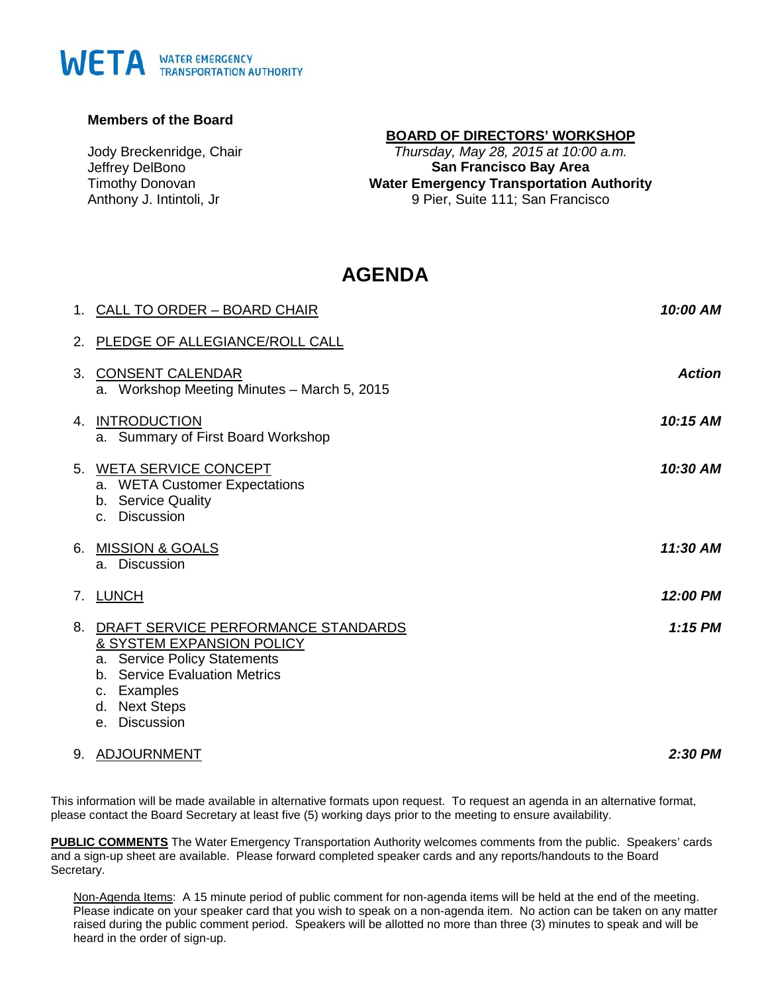# WETA WATER EMERGENCY

#### **Members of the Board**

Jody Breckenridge, Chair Jeffrey DelBono Timothy Donovan Anthony J. Intintoli, Jr

# **BOARD OF DIRECTORS' WORKSHOP**

*Thursday, May 28, 2015 at 10:00 a.m.* **San Francisco Bay Area Water Emergency Transportation Authority** 9 Pier, Suite 111; San Francisco

# **AGENDA**

|    | 1. CALL TO ORDER - BOARD CHAIR                                                                                                                                                     | 10:00 AM      |
|----|------------------------------------------------------------------------------------------------------------------------------------------------------------------------------------|---------------|
|    | 2. PLEDGE OF ALLEGIANCE/ROLL CALL                                                                                                                                                  |               |
| 3. | <b>CONSENT CALENDAR</b><br>a. Workshop Meeting Minutes - March 5, 2015                                                                                                             | <b>Action</b> |
| 4. | <b>INTRODUCTION</b><br>a. Summary of First Board Workshop                                                                                                                          | 10:15 AM      |
|    | 5. WETA SERVICE CONCEPT<br>a. WETA Customer Expectations<br>b. Service Quality<br>c. Discussion                                                                                    | 10:30 AM      |
|    | 6. MISSION & GOALS<br><b>Discussion</b><br>a.                                                                                                                                      | 11:30 AM      |
|    | 7. LUNCH                                                                                                                                                                           | 12:00 PM      |
| 8. | DRAFT SERVICE PERFORMANCE STANDARDS<br>& SYSTEM EXPANSION POLICY<br>a. Service Policy Statements<br>b. Service Evaluation Metrics<br>c. Examples<br>d. Next Steps<br>e. Discussion | $1:15$ PM     |

9. ADJOURNMENT

*2:30 PM*

This information will be made available in alternative formats upon request. To request an agenda in an alternative format, please contact the Board Secretary at least five (5) working days prior to the meeting to ensure availability.

**PUBLIC COMMENTS** The Water Emergency Transportation Authority welcomes comments from the public. Speakers' cards and a sign-up sheet are available. Please forward completed speaker cards and any reports/handouts to the Board Secretary.

Non-Agenda Items: A 15 minute period of public comment for non-agenda items will be held at the end of the meeting. Please indicate on your speaker card that you wish to speak on a non-agenda item. No action can be taken on any matter raised during the public comment period. Speakers will be allotted no more than three (3) minutes to speak and will be heard in the order of sign-up.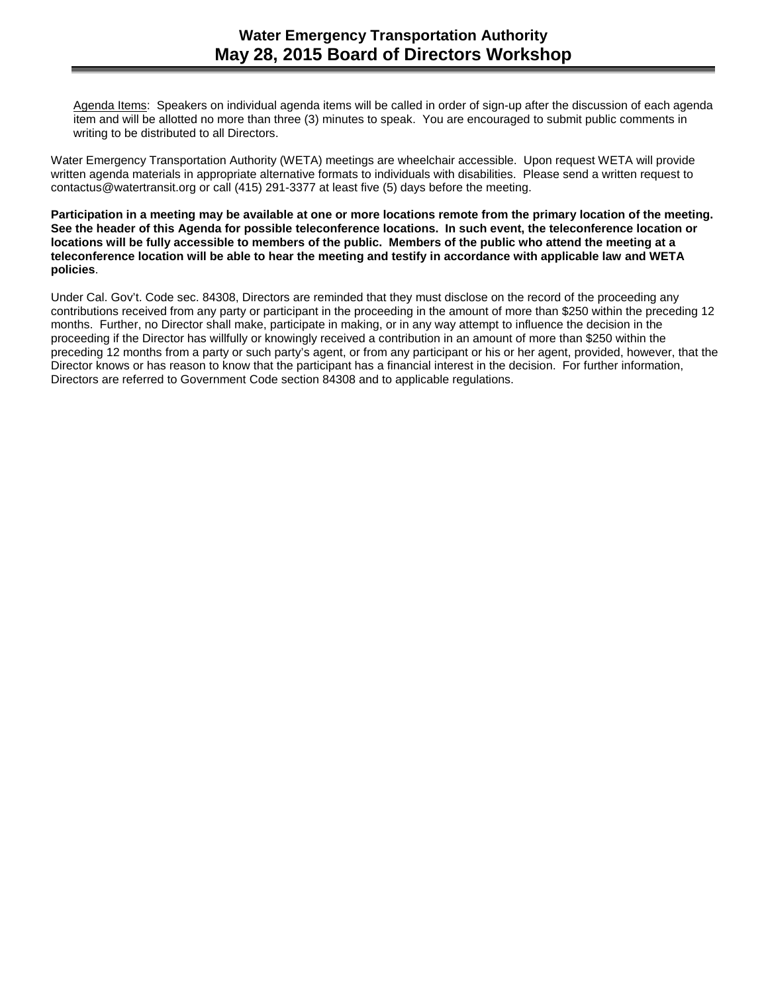Agenda Items: Speakers on individual agenda items will be called in order of sign-up after the discussion of each agenda item and will be allotted no more than three (3) minutes to speak. You are encouraged to submit public comments in writing to be distributed to all Directors.

Water Emergency Transportation Authority (WETA) meetings are wheelchair accessible. Upon request WETA will provide written agenda materials in appropriate alternative formats to individuals with disabilities. Please send a written request to contactus@watertransit.org or call (415) 291-3377 at least five (5) days before the meeting.

**Participation in a meeting may be available at one or more locations remote from the primary location of the meeting. See the header of this Agenda for possible teleconference locations. In such event, the teleconference location or locations will be fully accessible to members of the public. Members of the public who attend the meeting at a teleconference location will be able to hear the meeting and testify in accordance with applicable law and WETA policies**.

Under Cal. Gov't. Code sec. 84308, Directors are reminded that they must disclose on the record of the proceeding any contributions received from any party or participant in the proceeding in the amount of more than \$250 within the preceding 12 months. Further, no Director shall make, participate in making, or in any way attempt to influence the decision in the proceeding if the Director has willfully or knowingly received a contribution in an amount of more than \$250 within the preceding 12 months from a party or such party's agent, or from any participant or his or her agent, provided, however, that the Director knows or has reason to know that the participant has a financial interest in the decision. For further information, Directors are referred to Government Code section 84308 and to applicable regulations.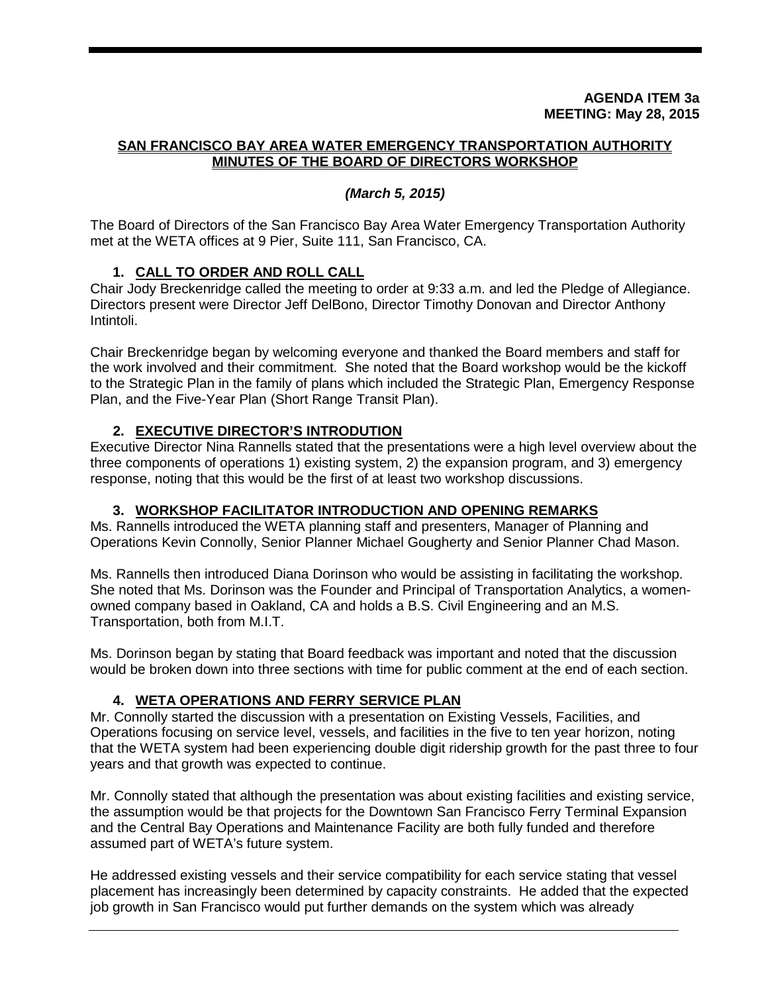#### **AGENDA ITEM 3a MEETING: May 28, 2015**

# **SAN FRANCISCO BAY AREA WATER EMERGENCY TRANSPORTATION AUTHORITY MINUTES OF THE BOARD OF DIRECTORS WORKSHOP**

# *(March 5, 2015)*

The Board of Directors of the San Francisco Bay Area Water Emergency Transportation Authority met at the WETA offices at 9 Pier, Suite 111, San Francisco, CA.

# **1. CALL TO ORDER AND ROLL CALL**

Chair Jody Breckenridge called the meeting to order at 9:33 a.m. and led the Pledge of Allegiance. Directors present were Director Jeff DelBono, Director Timothy Donovan and Director Anthony Intintoli.

Chair Breckenridge began by welcoming everyone and thanked the Board members and staff for the work involved and their commitment. She noted that the Board workshop would be the kickoff to the Strategic Plan in the family of plans which included the Strategic Plan, Emergency Response Plan, and the Five-Year Plan (Short Range Transit Plan).

# **2. EXECUTIVE DIRECTOR'S INTRODUTION**

Executive Director Nina Rannells stated that the presentations were a high level overview about the three components of operations 1) existing system, 2) the expansion program, and 3) emergency response, noting that this would be the first of at least two workshop discussions.

# **3. WORKSHOP FACILITATOR INTRODUCTION AND OPENING REMARKS**

Ms. Rannells introduced the WETA planning staff and presenters, Manager of Planning and Operations Kevin Connolly, Senior Planner Michael Gougherty and Senior Planner Chad Mason.

Ms. Rannells then introduced Diana Dorinson who would be assisting in facilitating the workshop. She noted that Ms. Dorinson was the Founder and Principal of Transportation Analytics, a womenowned company based in Oakland, CA and holds a B.S. Civil Engineering and an M.S. Transportation, both from M.I.T.

Ms. Dorinson began by stating that Board feedback was important and noted that the discussion would be broken down into three sections with time for public comment at the end of each section.

# **4. WETA OPERATIONS AND FERRY SERVICE PLAN**

Mr. Connolly started the discussion with a presentation on Existing Vessels, Facilities, and Operations focusing on service level, vessels, and facilities in the five to ten year horizon, noting that the WETA system had been experiencing double digit ridership growth for the past three to four years and that growth was expected to continue.

Mr. Connolly stated that although the presentation was about existing facilities and existing service, the assumption would be that projects for the Downtown San Francisco Ferry Terminal Expansion and the Central Bay Operations and Maintenance Facility are both fully funded and therefore assumed part of WETA's future system.

He addressed existing vessels and their service compatibility for each service stating that vessel placement has increasingly been determined by capacity constraints. He added that the expected job growth in San Francisco would put further demands on the system which was already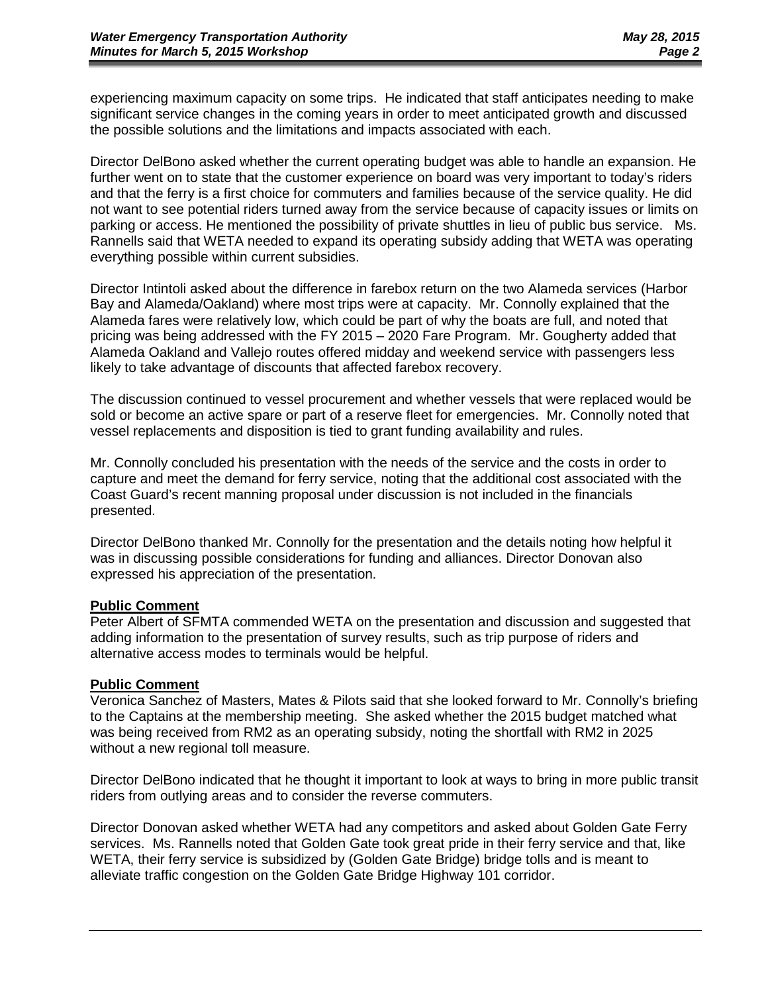experiencing maximum capacity on some trips. He indicated that staff anticipates needing to make significant service changes in the coming years in order to meet anticipated growth and discussed the possible solutions and the limitations and impacts associated with each.

Director DelBono asked whether the current operating budget was able to handle an expansion. He further went on to state that the customer experience on board was very important to today's riders and that the ferry is a first choice for commuters and families because of the service quality. He did not want to see potential riders turned away from the service because of capacity issues or limits on parking or access. He mentioned the possibility of private shuttles in lieu of public bus service. Ms. Rannells said that WETA needed to expand its operating subsidy adding that WETA was operating everything possible within current subsidies.

Director Intintoli asked about the difference in farebox return on the two Alameda services (Harbor Bay and Alameda/Oakland) where most trips were at capacity. Mr. Connolly explained that the Alameda fares were relatively low, which could be part of why the boats are full, and noted that pricing was being addressed with the FY 2015 – 2020 Fare Program. Mr. Gougherty added that Alameda Oakland and Vallejo routes offered midday and weekend service with passengers less likely to take advantage of discounts that affected farebox recovery.

The discussion continued to vessel procurement and whether vessels that were replaced would be sold or become an active spare or part of a reserve fleet for emergencies. Mr. Connolly noted that vessel replacements and disposition is tied to grant funding availability and rules.

Mr. Connolly concluded his presentation with the needs of the service and the costs in order to capture and meet the demand for ferry service, noting that the additional cost associated with the Coast Guard's recent manning proposal under discussion is not included in the financials presented.

Director DelBono thanked Mr. Connolly for the presentation and the details noting how helpful it was in discussing possible considerations for funding and alliances. Director Donovan also expressed his appreciation of the presentation.

#### **Public Comment**

Peter Albert of SFMTA commended WETA on the presentation and discussion and suggested that adding information to the presentation of survey results, such as trip purpose of riders and alternative access modes to terminals would be helpful.

# **Public Comment**

Veronica Sanchez of Masters, Mates & Pilots said that she looked forward to Mr. Connolly's briefing to the Captains at the membership meeting. She asked whether the 2015 budget matched what was being received from RM2 as an operating subsidy, noting the shortfall with RM2 in 2025 without a new regional toll measure.

Director DelBono indicated that he thought it important to look at ways to bring in more public transit riders from outlying areas and to consider the reverse commuters.

Director Donovan asked whether WETA had any competitors and asked about Golden Gate Ferry services. Ms. Rannells noted that Golden Gate took great pride in their ferry service and that, like WETA, their ferry service is subsidized by (Golden Gate Bridge) bridge tolls and is meant to alleviate traffic congestion on the Golden Gate Bridge Highway 101 corridor.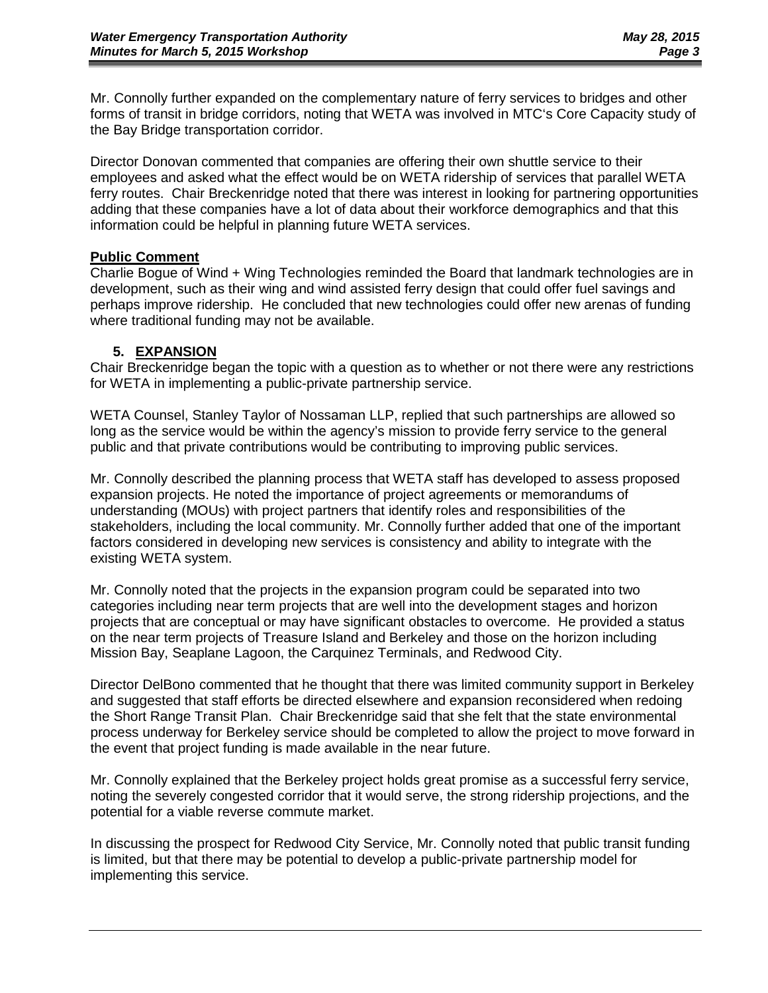Mr. Connolly further expanded on the complementary nature of ferry services to bridges and other forms of transit in bridge corridors, noting that WETA was involved in MTC's Core Capacity study of the Bay Bridge transportation corridor.

Director Donovan commented that companies are offering their own shuttle service to their employees and asked what the effect would be on WETA ridership of services that parallel WETA ferry routes. Chair Breckenridge noted that there was interest in looking for partnering opportunities adding that these companies have a lot of data about their workforce demographics and that this information could be helpful in planning future WETA services.

# **Public Comment**

Charlie Bogue of Wind + Wing Technologies reminded the Board that landmark technologies are in development, such as their wing and wind assisted ferry design that could offer fuel savings and perhaps improve ridership. He concluded that new technologies could offer new arenas of funding where traditional funding may not be available.

# **5. EXPANSION**

Chair Breckenridge began the topic with a question as to whether or not there were any restrictions for WETA in implementing a public-private partnership service.

WETA Counsel, Stanley Taylor of Nossaman LLP, replied that such partnerships are allowed so long as the service would be within the agency's mission to provide ferry service to the general public and that private contributions would be contributing to improving public services.

Mr. Connolly described the planning process that WETA staff has developed to assess proposed expansion projects. He noted the importance of project agreements or memorandums of understanding (MOUs) with project partners that identify roles and responsibilities of the stakeholders, including the local community. Mr. Connolly further added that one of the important factors considered in developing new services is consistency and ability to integrate with the existing WETA system.

Mr. Connolly noted that the projects in the expansion program could be separated into two categories including near term projects that are well into the development stages and horizon projects that are conceptual or may have significant obstacles to overcome. He provided a status on the near term projects of Treasure Island and Berkeley and those on the horizon including Mission Bay, Seaplane Lagoon, the Carquinez Terminals, and Redwood City.

Director DelBono commented that he thought that there was limited community support in Berkeley and suggested that staff efforts be directed elsewhere and expansion reconsidered when redoing the Short Range Transit Plan. Chair Breckenridge said that she felt that the state environmental process underway for Berkeley service should be completed to allow the project to move forward in the event that project funding is made available in the near future.

Mr. Connolly explained that the Berkeley project holds great promise as a successful ferry service, noting the severely congested corridor that it would serve, the strong ridership projections, and the potential for a viable reverse commute market.

In discussing the prospect for Redwood City Service, Mr. Connolly noted that public transit funding is limited, but that there may be potential to develop a public-private partnership model for implementing this service.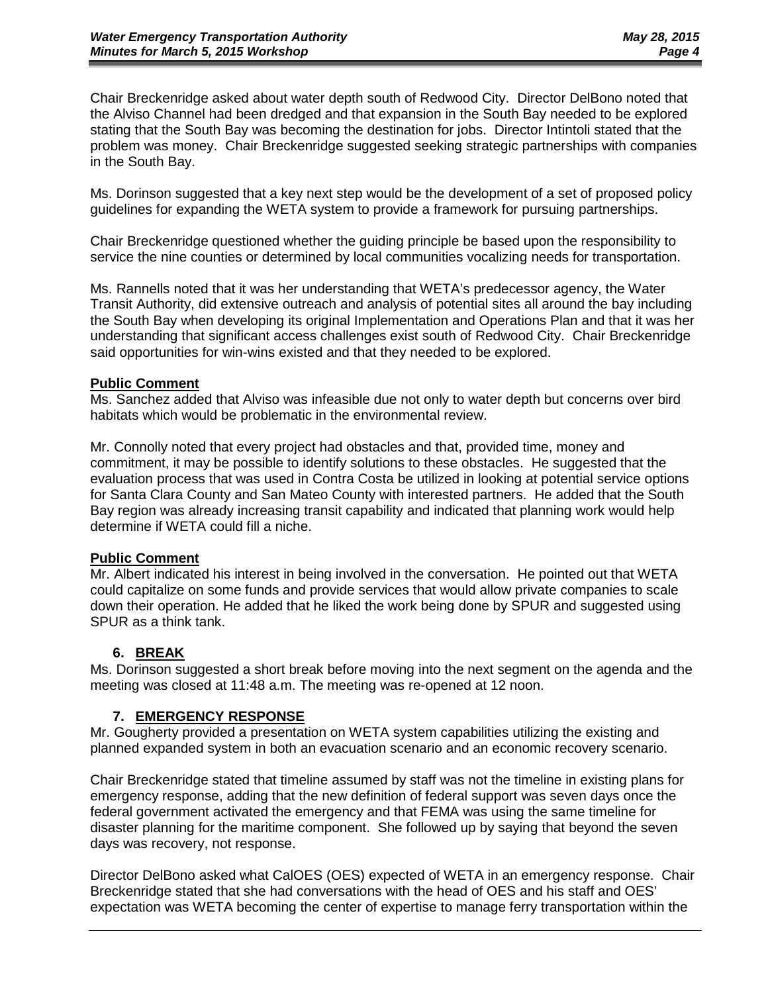Chair Breckenridge asked about water depth south of Redwood City. Director DelBono noted that the Alviso Channel had been dredged and that expansion in the South Bay needed to be explored stating that the South Bay was becoming the destination for jobs. Director Intintoli stated that the problem was money. Chair Breckenridge suggested seeking strategic partnerships with companies in the South Bay.

Ms. Dorinson suggested that a key next step would be the development of a set of proposed policy guidelines for expanding the WETA system to provide a framework for pursuing partnerships.

Chair Breckenridge questioned whether the guiding principle be based upon the responsibility to service the nine counties or determined by local communities vocalizing needs for transportation.

Ms. Rannells noted that it was her understanding that WETA's predecessor agency, the Water Transit Authority, did extensive outreach and analysis of potential sites all around the bay including the South Bay when developing its original Implementation and Operations Plan and that it was her understanding that significant access challenges exist south of Redwood City. Chair Breckenridge said opportunities for win-wins existed and that they needed to be explored.

#### **Public Comment**

Ms. Sanchez added that Alviso was infeasible due not only to water depth but concerns over bird habitats which would be problematic in the environmental review.

Mr. Connolly noted that every project had obstacles and that, provided time, money and commitment, it may be possible to identify solutions to these obstacles. He suggested that the evaluation process that was used in Contra Costa be utilized in looking at potential service options for Santa Clara County and San Mateo County with interested partners. He added that the South Bay region was already increasing transit capability and indicated that planning work would help determine if WETA could fill a niche.

# **Public Comment**

Mr. Albert indicated his interest in being involved in the conversation. He pointed out that WETA could capitalize on some funds and provide services that would allow private companies to scale down their operation. He added that he liked the work being done by SPUR and suggested using SPUR as a think tank.

# **6. BREAK**

Ms. Dorinson suggested a short break before moving into the next segment on the agenda and the meeting was closed at 11:48 a.m. The meeting was re-opened at 12 noon.

# **7. EMERGENCY RESPONSE**

Mr. Gougherty provided a presentation on WETA system capabilities utilizing the existing and planned expanded system in both an evacuation scenario and an economic recovery scenario.

Chair Breckenridge stated that timeline assumed by staff was not the timeline in existing plans for emergency response, adding that the new definition of federal support was seven days once the federal government activated the emergency and that FEMA was using the same timeline for disaster planning for the maritime component. She followed up by saying that beyond the seven days was recovery, not response.

Director DelBono asked what CalOES (OES) expected of WETA in an emergency response. Chair Breckenridge stated that she had conversations with the head of OES and his staff and OES' expectation was WETA becoming the center of expertise to manage ferry transportation within the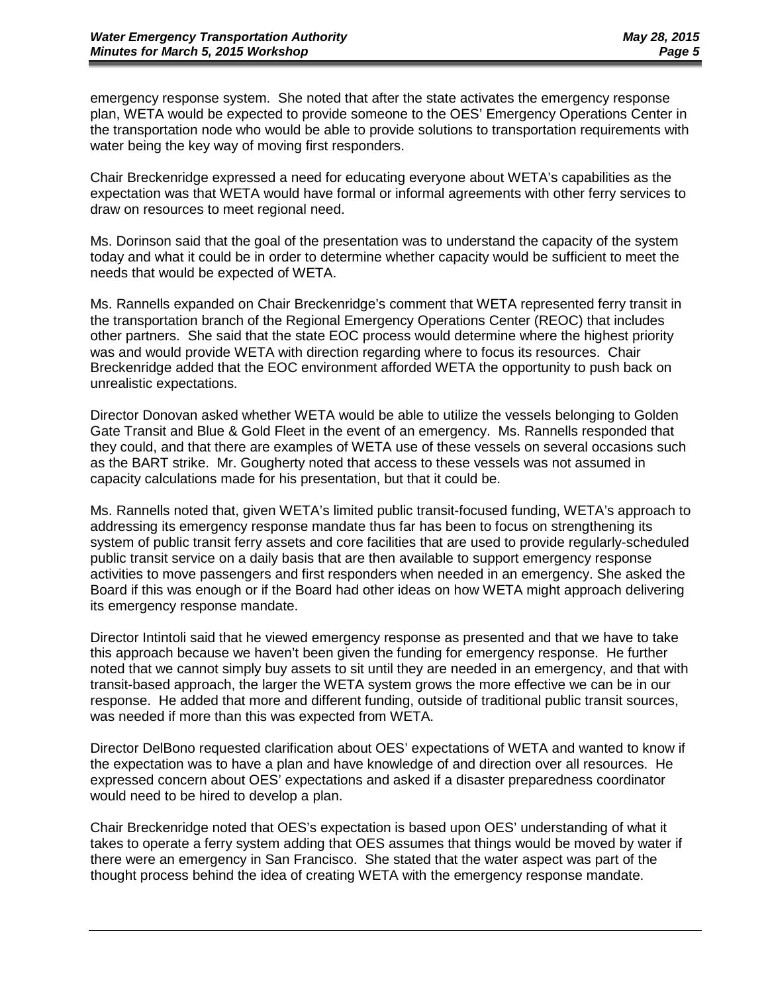emergency response system. She noted that after the state activates the emergency response plan, WETA would be expected to provide someone to the OES' Emergency Operations Center in the transportation node who would be able to provide solutions to transportation requirements with water being the key way of moving first responders.

Chair Breckenridge expressed a need for educating everyone about WETA's capabilities as the expectation was that WETA would have formal or informal agreements with other ferry services to draw on resources to meet regional need.

Ms. Dorinson said that the goal of the presentation was to understand the capacity of the system today and what it could be in order to determine whether capacity would be sufficient to meet the needs that would be expected of WETA.

Ms. Rannells expanded on Chair Breckenridge's comment that WETA represented ferry transit in the transportation branch of the Regional Emergency Operations Center (REOC) that includes other partners. She said that the state EOC process would determine where the highest priority was and would provide WETA with direction regarding where to focus its resources. Chair Breckenridge added that the EOC environment afforded WETA the opportunity to push back on unrealistic expectations.

Director Donovan asked whether WETA would be able to utilize the vessels belonging to Golden Gate Transit and Blue & Gold Fleet in the event of an emergency. Ms. Rannells responded that they could, and that there are examples of WETA use of these vessels on several occasions such as the BART strike. Mr. Gougherty noted that access to these vessels was not assumed in capacity calculations made for his presentation, but that it could be.

Ms. Rannells noted that, given WETA's limited public transit-focused funding, WETA's approach to addressing its emergency response mandate thus far has been to focus on strengthening its system of public transit ferry assets and core facilities that are used to provide regularly-scheduled public transit service on a daily basis that are then available to support emergency response activities to move passengers and first responders when needed in an emergency. She asked the Board if this was enough or if the Board had other ideas on how WETA might approach delivering its emergency response mandate.

Director Intintoli said that he viewed emergency response as presented and that we have to take this approach because we haven't been given the funding for emergency response. He further noted that we cannot simply buy assets to sit until they are needed in an emergency, and that with transit-based approach, the larger the WETA system grows the more effective we can be in our response. He added that more and different funding, outside of traditional public transit sources, was needed if more than this was expected from WETA.

Director DelBono requested clarification about OES' expectations of WETA and wanted to know if the expectation was to have a plan and have knowledge of and direction over all resources. He expressed concern about OES' expectations and asked if a disaster preparedness coordinator would need to be hired to develop a plan.

Chair Breckenridge noted that OES's expectation is based upon OES' understanding of what it takes to operate a ferry system adding that OES assumes that things would be moved by water if there were an emergency in San Francisco. She stated that the water aspect was part of the thought process behind the idea of creating WETA with the emergency response mandate.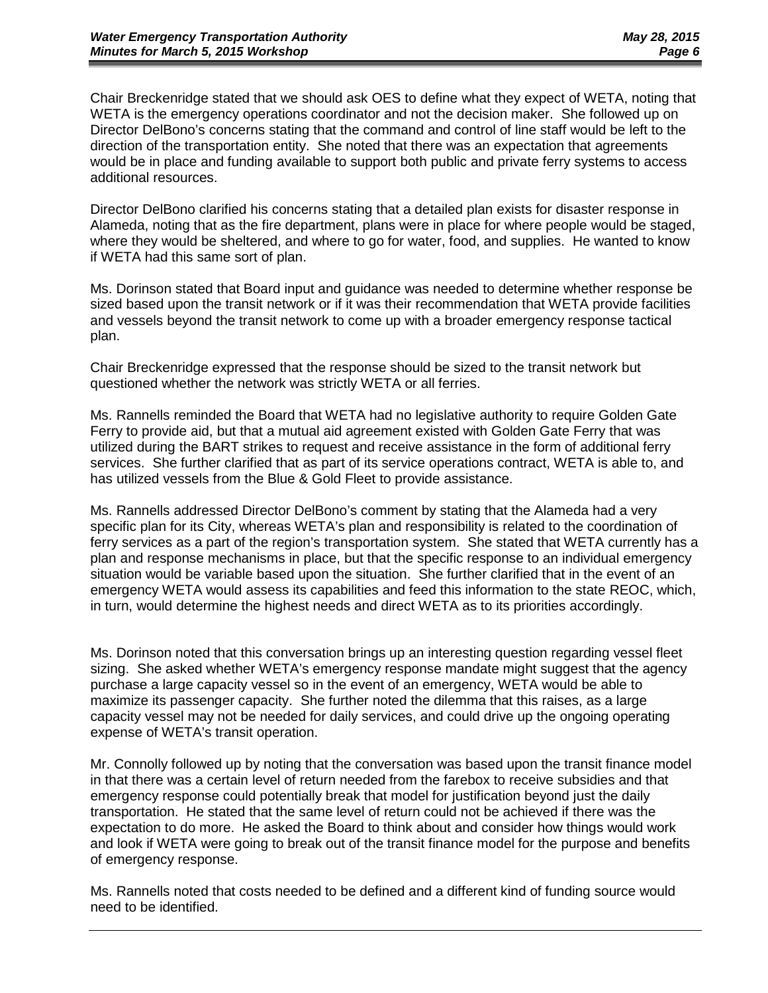Chair Breckenridge stated that we should ask OES to define what they expect of WETA, noting that WETA is the emergency operations coordinator and not the decision maker. She followed up on Director DelBono's concerns stating that the command and control of line staff would be left to the direction of the transportation entity. She noted that there was an expectation that agreements would be in place and funding available to support both public and private ferry systems to access additional resources.

Director DelBono clarified his concerns stating that a detailed plan exists for disaster response in Alameda, noting that as the fire department, plans were in place for where people would be staged, where they would be sheltered, and where to go for water, food, and supplies. He wanted to know if WETA had this same sort of plan.

Ms. Dorinson stated that Board input and guidance was needed to determine whether response be sized based upon the transit network or if it was their recommendation that WETA provide facilities and vessels beyond the transit network to come up with a broader emergency response tactical plan.

Chair Breckenridge expressed that the response should be sized to the transit network but questioned whether the network was strictly WETA or all ferries.

Ms. Rannells reminded the Board that WETA had no legislative authority to require Golden Gate Ferry to provide aid, but that a mutual aid agreement existed with Golden Gate Ferry that was utilized during the BART strikes to request and receive assistance in the form of additional ferry services. She further clarified that as part of its service operations contract, WETA is able to, and has utilized vessels from the Blue & Gold Fleet to provide assistance.

Ms. Rannells addressed Director DelBono's comment by stating that the Alameda had a very specific plan for its City, whereas WETA's plan and responsibility is related to the coordination of ferry services as a part of the region's transportation system. She stated that WETA currently has a plan and response mechanisms in place, but that the specific response to an individual emergency situation would be variable based upon the situation. She further clarified that in the event of an emergency WETA would assess its capabilities and feed this information to the state REOC, which, in turn, would determine the highest needs and direct WETA as to its priorities accordingly.

Ms. Dorinson noted that this conversation brings up an interesting question regarding vessel fleet sizing. She asked whether WETA's emergency response mandate might suggest that the agency purchase a large capacity vessel so in the event of an emergency, WETA would be able to maximize its passenger capacity. She further noted the dilemma that this raises, as a large capacity vessel may not be needed for daily services, and could drive up the ongoing operating expense of WETA's transit operation.

Mr. Connolly followed up by noting that the conversation was based upon the transit finance model in that there was a certain level of return needed from the farebox to receive subsidies and that emergency response could potentially break that model for justification beyond just the daily transportation. He stated that the same level of return could not be achieved if there was the expectation to do more. He asked the Board to think about and consider how things would work and look if WETA were going to break out of the transit finance model for the purpose and benefits of emergency response.

Ms. Rannells noted that costs needed to be defined and a different kind of funding source would need to be identified.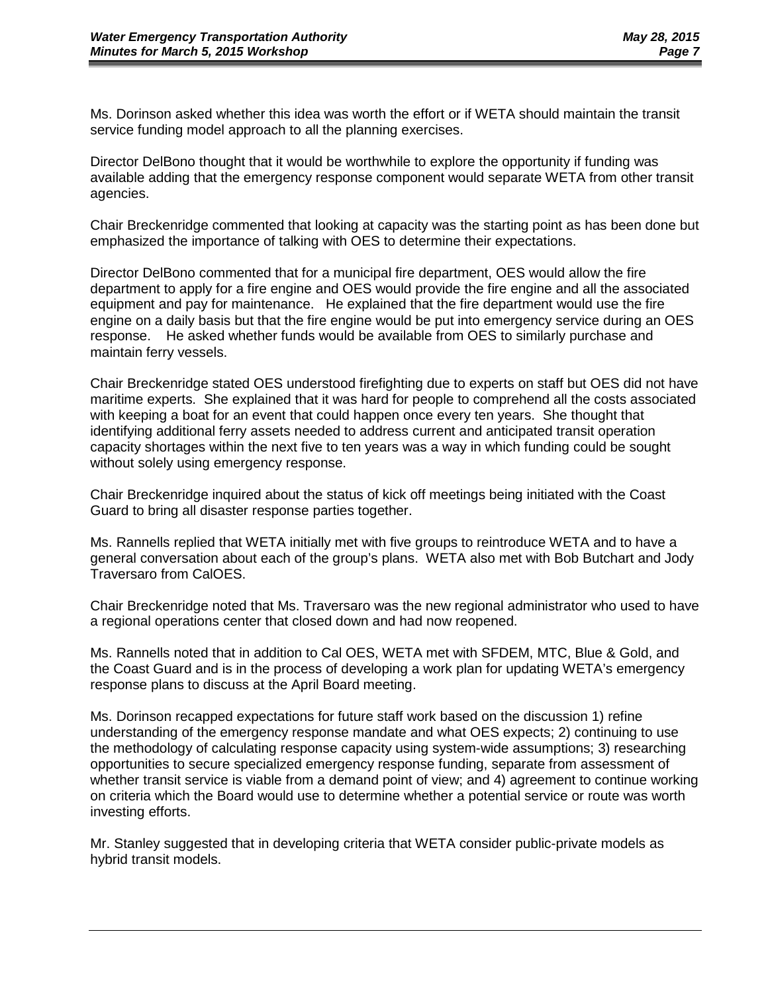Ms. Dorinson asked whether this idea was worth the effort or if WETA should maintain the transit service funding model approach to all the planning exercises.

Director DelBono thought that it would be worthwhile to explore the opportunity if funding was available adding that the emergency response component would separate WETA from other transit agencies.

Chair Breckenridge commented that looking at capacity was the starting point as has been done but emphasized the importance of talking with OES to determine their expectations.

Director DelBono commented that for a municipal fire department, OES would allow the fire department to apply for a fire engine and OES would provide the fire engine and all the associated equipment and pay for maintenance. He explained that the fire department would use the fire engine on a daily basis but that the fire engine would be put into emergency service during an OES response. He asked whether funds would be available from OES to similarly purchase and maintain ferry vessels.

Chair Breckenridge stated OES understood firefighting due to experts on staff but OES did not have maritime experts. She explained that it was hard for people to comprehend all the costs associated with keeping a boat for an event that could happen once every ten years. She thought that identifying additional ferry assets needed to address current and anticipated transit operation capacity shortages within the next five to ten years was a way in which funding could be sought without solely using emergency response.

Chair Breckenridge inquired about the status of kick off meetings being initiated with the Coast Guard to bring all disaster response parties together.

Ms. Rannells replied that WETA initially met with five groups to reintroduce WETA and to have a general conversation about each of the group's plans. WETA also met with Bob Butchart and Jody Traversaro from CalOES.

Chair Breckenridge noted that Ms. Traversaro was the new regional administrator who used to have a regional operations center that closed down and had now reopened.

Ms. Rannells noted that in addition to Cal OES, WETA met with SFDEM, MTC, Blue & Gold, and the Coast Guard and is in the process of developing a work plan for updating WETA's emergency response plans to discuss at the April Board meeting.

Ms. Dorinson recapped expectations for future staff work based on the discussion 1) refine understanding of the emergency response mandate and what OES expects; 2) continuing to use the methodology of calculating response capacity using system-wide assumptions; 3) researching opportunities to secure specialized emergency response funding, separate from assessment of whether transit service is viable from a demand point of view; and 4) agreement to continue working on criteria which the Board would use to determine whether a potential service or route was worth investing efforts.

Mr. Stanley suggested that in developing criteria that WETA consider public-private models as hybrid transit models.